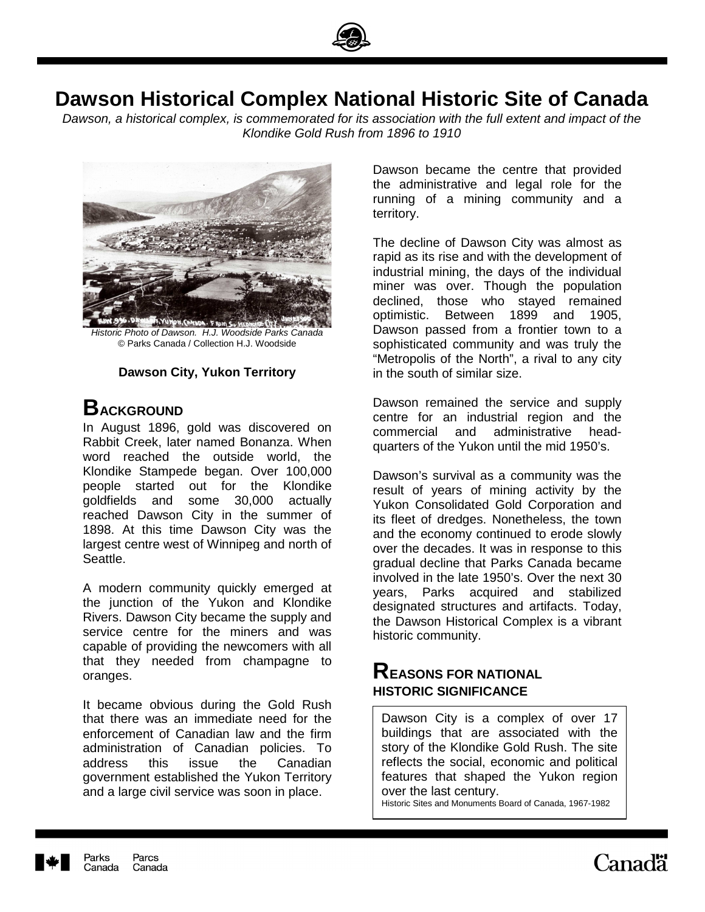

# **Dawson Historical Complex National Historic Site of Canada**

Dawson, a historical complex, is commemorated for its association with the full extent and impact of the Klondike Gold Rush from 1896 to 1910



Historic Photo of Dawson. H.J. Woodside Parks Canada © Parks Canada / Collection H.J. Woodside

#### **Dawson City, Yukon Territory**

## **BACKGROUND**

In August 1896, gold was discovered on Rabbit Creek, later named Bonanza. When word reached the outside world, the Klondike Stampede began. Over 100,000 people started out for the Klondike goldfields and some 30,000 actually reached Dawson City in the summer of 1898. At this time Dawson City was the largest centre west of Winnipeg and north of Seattle.

A modern community quickly emerged at the junction of the Yukon and Klondike Rivers. Dawson City became the supply and service centre for the miners and was capable of providing the newcomers with all that they needed from champagne to oranges.

It became obvious during the Gold Rush that there was an immediate need for the enforcement of Canadian law and the firm administration of Canadian policies. To address this issue the Canadian government established the Yukon Territory and a large civil service was soon in place.

Dawson became the centre that provided the administrative and legal role for the running of a mining community and a territory.

The decline of Dawson City was almost as rapid as its rise and with the development of industrial mining, the days of the individual miner was over. Though the population declined, those who stayed remained optimistic. Between 1899 and 1905, Dawson passed from a frontier town to a sophisticated community and was truly the "Metropolis of the North", a rival to any city in the south of similar size.

Dawson remained the service and supply centre for an industrial region and the commercial and administrative headquarters of the Yukon until the mid 1950's.

Dawson's survival as a community was the result of years of mining activity by the Yukon Consolidated Gold Corporation and its fleet of dredges. Nonetheless, the town and the economy continued to erode slowly over the decades. It was in response to this gradual decline that Parks Canada became involved in the late 1950's. Over the next 30 years, Parks acquired and stabilized designated structures and artifacts. Today, the Dawson Historical Complex is a vibrant historic community.

### **REASONS FOR NATIONAL HISTORIC SIGNIFICANCE**

 $\overline{a}$ 

Dawson City is a complex of over 17 buildings that are associated with the story of the Klondike Gold Rush. The site reflects the social, economic and political features that shaped the Yukon region over the last century.

Historic Sites and Monuments Board of Canada, 1967-1982